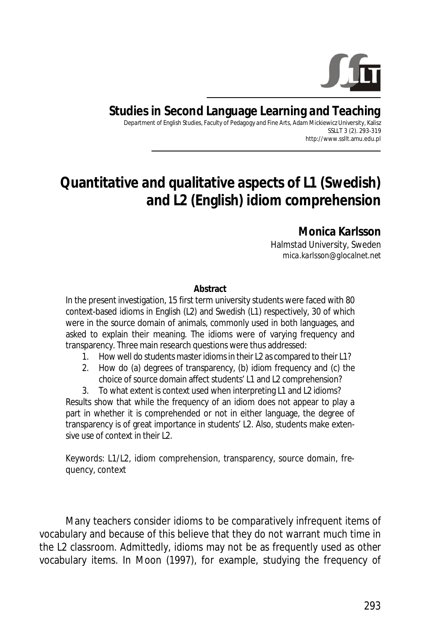

**Studies in Second Language Learning and Teaching**  Department of English Studies, Faculty of Pedagogy and Fine Arts, Adam Mickiewicz University, Kalisz

SSLLT 3 (2). 293-319 http://www.ssllt.amu.edu.pl

# **Quantitative and qualitative aspects of L1 (Swedish) and L2 (English) idiom comprehension**

**Monica Karlsson** 

Halmstad University, Sweden *mica.karlsson@glocalnet.net* 

#### **Abstract**

In the present investigation, 15 first term university students were faced with 80 context-based idioms in English (L2) and Swedish (L1) respectively, 30 of which were in the source domain of animals, commonly used in both languages, and asked to explain their meaning. The idioms were of varying frequency and transparency. Three main research questions were thus addressed:

- 1. How well do students master idioms in their L2 as compared to their L1?
- 2. How do (a) degrees of transparency, (b) idiom frequency and (c) the choice of source domain affect students' L1 and L2 comprehension?

3. To what extent is context used when interpreting L1 and L2 idioms?

Results show that while the frequency of an idiom does not appear to play a part in whether it is comprehended or not in either language, the degree of transparency is of great importance in students' L2. Also, students make extensive use of context in their L<sub>2</sub>.

*Keywords*: L1/L2, idiom comprehension, transparency, source domain, frequency, context

Many teachers consider idioms to be comparatively infrequent items of vocabulary and because of this believe that they do not warrant much time in the L2 classroom. Admittedly, idioms may not be as frequently used as other vocabulary items. In Moon (1997), for example, studying the frequency of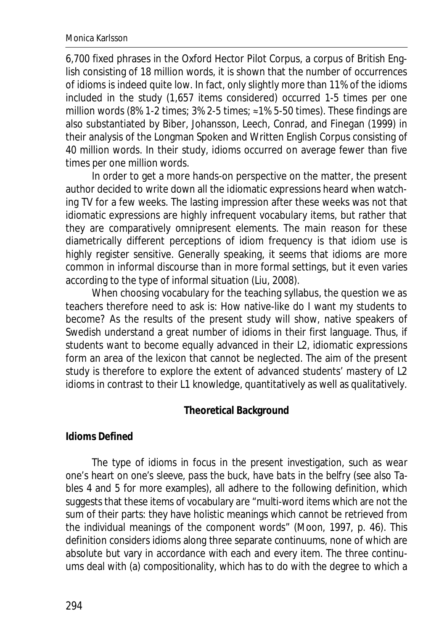6,700 fixed phrases in the Oxford Hector Pilot Corpus, a corpus of British English consisting of 18 million words, it is shown that the number of occurrences of idioms is indeed quite low. In fact, only slightly more than 11% of the idioms included in the study (1,657 items considered) occurred 1-5 times per one million words (8% 1-2 times;  $3\%$  2-5 times;  $\approx$  1% 5-50 times). These findings are also substantiated by Biber, Johansson, Leech, Conrad, and Finegan (1999) in their analysis of the Longman Spoken and Written English Corpus consisting of 40 million words. In their study, idioms occurred on average fewer than five times per one million words.

In order to get a more hands-on perspective on the matter, the present author decided to write down all the idiomatic expressions heard when watching TV for a few weeks. The lasting impression after these weeks was not that idiomatic expressions are highly infrequent vocabulary items, but rather that they are comparatively omnipresent elements. The main reason for these diametrically different perceptions of idiom frequency is that idiom use is highly register sensitive. Generally speaking, it seems that idioms are more common in informal discourse than in more formal settings, but it even varies according to the type of informal situation (Liu, 2008).

When choosing vocabulary for the teaching syllabus, the question we as teachers therefore need to ask is: How native-like do I want my students to become? As the results of the present study will show, native speakers of Swedish understand a great number of idioms in their first language. Thus, if students want to become equally advanced in their L2, idiomatic expressions form an area of the lexicon that cannot be neglected. The aim of the present study is therefore to explore the extent of advanced students' mastery of L2 idioms in contrast to their L1 knowledge, quantitatively as well as qualitatively.

## **Theoretical Background**

#### **Idioms Defined**

The type of idioms in focus in the present investigation, such as *wear one's heart on one's sleeve*, *pass the buck*, *have bats in the belfry* (see also Tables 4 and 5 for more examples), all adhere to the following definition, which suggests that these items of vocabulary are "multi-word items which are not the sum of their parts: they have holistic meanings which cannot be retrieved from the individual meanings of the component words" (Moon, 1997, p. 46). This definition considers idioms along three separate continuums, none of which are absolute but vary in accordance with each and every item. The three continuums deal with (a) compositionality, which has to do with the degree to which a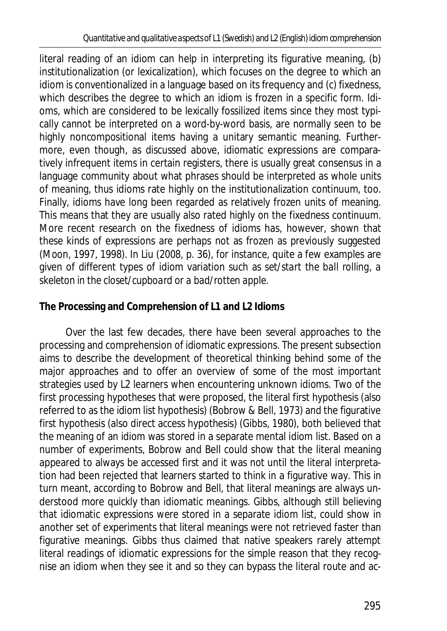literal reading of an idiom can help in interpreting its figurative meaning, (b) institutionalization (or lexicalization), which focuses on the degree to which an idiom is conventionalized in a language based on its frequency and (c) fixedness, which describes the degree to which an idiom is frozen in a specific form. Idioms, which are considered to be lexically fossilized items since they most typically cannot be interpreted on a word-by-word basis, are normally seen to be highly noncompositional items having a unitary semantic meaning. Furthermore, even though, as discussed above, idiomatic expressions are comparatively infrequent items in certain registers, there is usually great consensus in a language community about what phrases should be interpreted as whole units of meaning, thus idioms rate highly on the institutionalization continuum, too. Finally, idioms have long been regarded as relatively frozen units of meaning. This means that they are usually also rated highly on the fixedness continuum. More recent research on the fixedness of idioms has, however, shown that these kinds of expressions are perhaps not as frozen as previously suggested (Moon, 1997, 1998). In Liu (2008, p. 36), for instance, quite a few examples are given of different types of idiom variation such as *set*/*start the ball rolling*, *a skeleton in the closet*/*cupboard* or *a bad*/*rotten apple*.

## **The Processing and Comprehension of L1 and L2 Idioms**

Over the last few decades, there have been several approaches to the processing and comprehension of idiomatic expressions. The present subsection aims to describe the development of theoretical thinking behind some of the major approaches and to offer an overview of some of the most important strategies used by L2 learners when encountering unknown idioms. Two of the first processing hypotheses that were proposed, the literal first hypothesis (also referred to as the idiom list hypothesis) (Bobrow & Bell, 1973) and the figurative first hypothesis (also direct access hypothesis) (Gibbs, 1980), both believed that the meaning of an idiom was stored in a separate mental idiom list. Based on a number of experiments, Bobrow and Bell could show that the literal meaning appeared to always be accessed first and it was not until the literal interpretation had been rejected that learners started to think in a figurative way. This in turn meant, according to Bobrow and Bell, that literal meanings are always understood more quickly than idiomatic meanings. Gibbs, although still believing that idiomatic expressions were stored in a separate idiom list, could show in another set of experiments that literal meanings were not retrieved faster than figurative meanings. Gibbs thus claimed that native speakers rarely attempt literal readings of idiomatic expressions for the simple reason that they recognise an idiom when they see it and so they can bypass the literal route and ac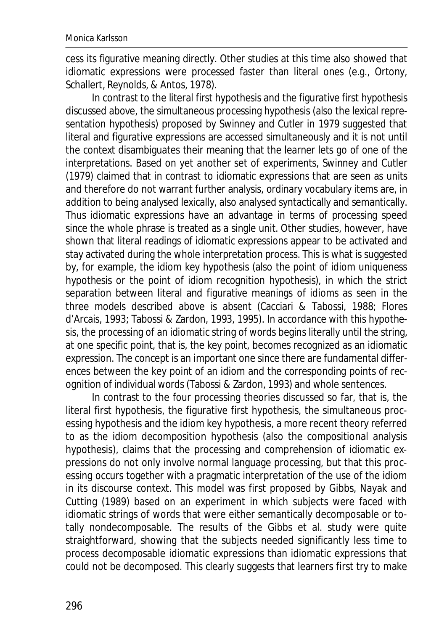cess its figurative meaning directly. Other studies at this time also showed that idiomatic expressions were processed faster than literal ones (e.g., Ortony, Schallert, Reynolds, & Antos, 1978).

In contrast to the literal first hypothesis and the figurative first hypothesis discussed above, the simultaneous processing hypothesis (also the lexical representation hypothesis) proposed by Swinney and Cutler in 1979 suggested that literal and figurative expressions are accessed simultaneously and it is not until the context disambiguates their meaning that the learner lets go of one of the interpretations. Based on yet another set of experiments, Swinney and Cutler (1979) claimed that in contrast to idiomatic expressions that are seen as units and therefore do not warrant further analysis, ordinary vocabulary items are, in addition to being analysed lexically, also analysed syntactically and semantically. Thus idiomatic expressions have an advantage in terms of processing speed since the whole phrase is treated as a single unit. Other studies, however, have shown that literal readings of idiomatic expressions appear to be activated and stay activated during the whole interpretation process. This is what is suggested by, for example, the idiom key hypothesis (also the point of idiom uniqueness hypothesis or the point of idiom recognition hypothesis), in which the strict separation between literal and figurative meanings of idioms as seen in the three models described above is absent (Cacciari & Tabossi, 1988; Flores d'Arcais, 1993; Tabossi & Zardon, 1993, 1995). In accordance with this hypothesis, the processing of an idiomatic string of words begins literally until the string, at one specific point, that is, the key point, becomes recognized as an idiomatic expression. The concept is an important one since there are fundamental differences between the key point of an idiom and the corresponding points of recognition of individual words (Tabossi & Zardon, 1993) and whole sentences.

In contrast to the four processing theories discussed so far, that is, the literal first hypothesis, the figurative first hypothesis, the simultaneous processing hypothesis and the idiom key hypothesis, a more recent theory referred to as the idiom decomposition hypothesis (also the compositional analysis hypothesis), claims that the processing and comprehension of idiomatic expressions do not only involve normal language processing, but that this processing occurs together with a pragmatic interpretation of the use of the idiom in its discourse context. This model was first proposed by Gibbs, Nayak and Cutting (1989) based on an experiment in which subjects were faced with idiomatic strings of words that were either semantically decomposable or totally nondecomposable. The results of the Gibbs et al. study were quite straightforward, showing that the subjects needed significantly less time to process decomposable idiomatic expressions than idiomatic expressions that could not be decomposed. This clearly suggests that learners first try to make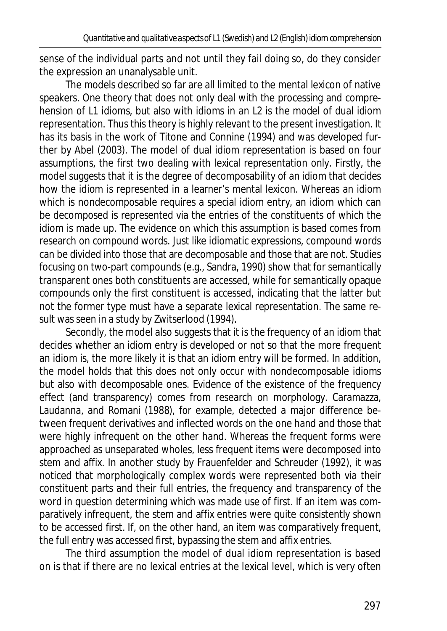sense of the individual parts and not until they fail doing so, do they consider the expression an unanalysable unit.

The models described so far are all limited to the mental lexicon of native speakers. One theory that does not only deal with the processing and comprehension of L1 idioms, but also with idioms in an L2 is the model of dual idiom representation. Thus this theory is highly relevant to the present investigation. It has its basis in the work of Titone and Connine (1994) and was developed further by Abel (2003). The model of dual idiom representation is based on four assumptions, the first two dealing with lexical representation only. Firstly, the model suggests that it is the degree of decomposability of an idiom that decides how the idiom is represented in a learner's mental lexicon. Whereas an idiom which is nondecomposable requires a special idiom entry, an idiom which can be decomposed is represented via the entries of the constituents of which the idiom is made up. The evidence on which this assumption is based comes from research on compound words. Just like idiomatic expressions, compound words can be divided into those that are decomposable and those that are not. Studies focusing on two-part compounds (e.g., Sandra, 1990) show that for semantically transparent ones both constituents are accessed, while for semantically opaque compounds only the first constituent is accessed, indicating that the latter but not the former type must have a separate lexical representation. The same result was seen in a study by Zwitserlood (1994).

Secondly, the model also suggests that it is the frequency of an idiom that decides whether an idiom entry is developed or not so that the more frequent an idiom is, the more likely it is that an idiom entry will be formed. In addition, the model holds that this does not only occur with nondecomposable idioms but also with decomposable ones. Evidence of the existence of the frequency effect (and transparency) comes from research on morphology. Caramazza, Laudanna, and Romani (1988), for example, detected a major difference between frequent derivatives and inflected words on the one hand and those that were highly infrequent on the other hand. Whereas the frequent forms were approached as unseparated wholes, less frequent items were decomposed into stem and affix. In another study by Frauenfelder and Schreuder (1992), it was noticed that morphologically complex words were represented both via their constituent parts and their full entries, the frequency and transparency of the word in question determining which was made use of first. If an item was comparatively infrequent, the stem and affix entries were quite consistently shown to be accessed first. If, on the other hand, an item was comparatively frequent, the full entry was accessed first, bypassing the stem and affix entries.

The third assumption the model of dual idiom representation is based on is that if there are no lexical entries at the lexical level, which is very often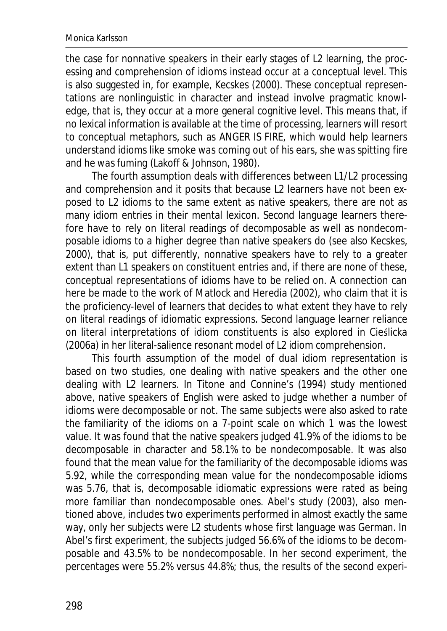#### Monica Karlsson

the case for nonnative speakers in their early stages of L2 learning, the processing and comprehension of idioms instead occur at a conceptual level. This is also suggested in, for example, Kecskes (2000). These conceptual representations are nonlinguistic in character and instead involve pragmatic knowledge, that is, they occur at a more general cognitive level. This means that, if no lexical information is available at the time of processing, learners will resort to conceptual metaphors, such as ANGER IS FIRE, which would help learners understand idioms like *smoke was coming out of his ears*, *she was spitting fire*  and *he was fuming* (Lakoff & Johnson, 1980).

The fourth assumption deals with differences between L1/L2 processing and comprehension and it posits that because L2 learners have not been exposed to L2 idioms to the same extent as native speakers, there are not as many idiom entries in their mental lexicon. Second language learners therefore have to rely on literal readings of decomposable as well as nondecomposable idioms to a higher degree than native speakers do (see also Kecskes, 2000), that is, put differently, nonnative speakers have to rely to a greater extent than L1 speakers on constituent entries and, if there are none of these, conceptual representations of idioms have to be relied on. A connection can here be made to the work of Matlock and Heredia (2002), who claim that it is the proficiency-level of learners that decides to what extent they have to rely on literal readings of idiomatic expressions. Second language learner reliance on literal interpretations of idiom constituents is also explored in Cieslicka (2006a) in her literal-salience resonant model of L2 idiom comprehension.

This fourth assumption of the model of dual idiom representation is based on two studies, one dealing with native speakers and the other one dealing with L2 learners. In Titone and Connine's (1994) study mentioned above, native speakers of English were asked to judge whether a number of idioms were decomposable or not. The same subjects were also asked to rate the familiarity of the idioms on a 7-point scale on which 1 was the lowest value. It was found that the native speakers judged 41.9% of the idioms to be decomposable in character and 58.1% to be nondecomposable. It was also found that the mean value for the familiarity of the decomposable idioms was 5.92, while the corresponding mean value for the nondecomposable idioms was 5.76, that is, decomposable idiomatic expressions were rated as being more familiar than nondecomposable ones. Abel's study (2003), also mentioned above, includes two experiments performed in almost exactly the same way, only her subjects were L2 students whose first language was German. In Abel's first experiment, the subjects judged 56.6% of the idioms to be decomposable and 43.5% to be nondecomposable. In her second experiment, the percentages were 55.2% versus 44.8%; thus, the results of the second experi-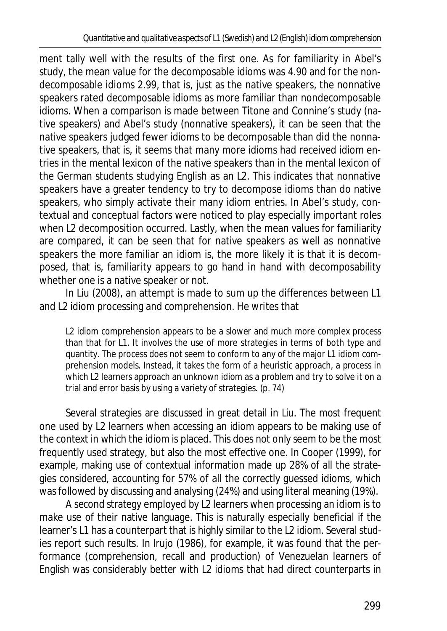ment tally well with the results of the first one. As for familiarity in Abel's study, the mean value for the decomposable idioms was 4.90 and for the nondecomposable idioms 2.99, that is, just as the native speakers, the nonnative speakers rated decomposable idioms as more familiar than nondecomposable idioms. When a comparison is made between Titone and Connine's study (native speakers) and Abel's study (nonnative speakers), it can be seen that the native speakers judged fewer idioms to be decomposable than did the nonnative speakers, that is, it seems that many more idioms had received idiom entries in the mental lexicon of the native speakers than in the mental lexicon of the German students studying English as an L2. This indicates that nonnative speakers have a greater tendency to try to decompose idioms than do native speakers, who simply activate their many idiom entries. In Abel's study, contextual and conceptual factors were noticed to play especially important roles when L2 decomposition occurred. Lastly, when the mean values for familiarity are compared, it can be seen that for native speakers as well as nonnative speakers the more familiar an idiom is, the more likely it is that it is decomposed, that is, familiarity appears to go hand in hand with decomposability whether one is a native speaker or not.

In Liu (2008), an attempt is made to sum up the differences between L1 and L2 idiom processing and comprehension. He writes that

L2 idiom comprehension appears to be a slower and much more complex process than that for L1. It involves the use of more strategies in terms of both type and quantity. The process does not seem to conform to any of the major L1 idiom comprehension models. Instead, it takes the form of a *heuristic* approach, a process in which L2 learners approach an unknown idiom as a problem and try to solve it on a trial and error basis by using a variety of strategies. (p. 74)

Several strategies are discussed in great detail in Liu. The most frequent one used by L2 learners when accessing an idiom appears to be making use of the context in which the idiom is placed. This does not only seem to be the most frequently used strategy, but also the most effective one. In Cooper (1999), for example, making use of contextual information made up 28% of all the strategies considered, accounting for 57% of all the correctly guessed idioms, which was followed by discussing and analysing (24%) and using literal meaning (19%).

A second strategy employed by L2 learners when processing an idiom is to make use of their native language. This is naturally especially beneficial if the learner's L1 has a counterpart that is highly similar to the L2 idiom. Several studies report such results. In Irujo (1986), for example, it was found that the performance (comprehension, recall and production) of Venezuelan learners of English was considerably better with L2 idioms that had direct counterparts in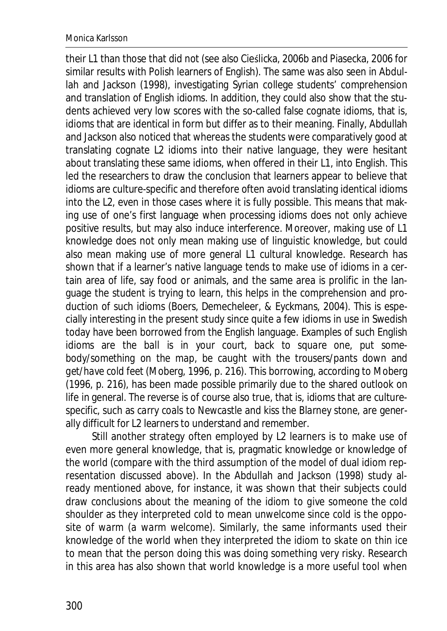their L1 than those that did not (see also Cieślicka, 2006b and Piasecka, 2006 for similar results with Polish learners of English). The same was also seen in Abdullah and Jackson (1998), investigating Syrian college students' comprehension and translation of English idioms. In addition, they could also show that the students achieved very low scores with the so-called false cognate idioms, that is, idioms that are identical in form but differ as to their meaning. Finally, Abdullah and Jackson also noticed that whereas the students were comparatively good at translating cognate L2 idioms into their native language, they were hesitant about translating these same idioms, when offered in their L1, into English. This led the researchers to draw the conclusion that learners appear to believe that idioms are culture-specific and therefore often avoid translating identical idioms into the L2, even in those cases where it is fully possible. This means that making use of one's first language when processing idioms does not only achieve positive results, but may also induce interference. Moreover, making use of L1 knowledge does not only mean making use of linguistic knowledge, but could also mean making use of more general L1 cultural knowledge. Research has shown that if a learner's native language tends to make use of idioms in a certain area of life, say food or animals, and the same area is prolific in the language the student is trying to learn, this helps in the comprehension and production of such idioms (Boers, Demecheleer, & Eyckmans, 2004). This is especially interesting in the present study since quite a few idioms in use in Swedish today have been borrowed from the English language. Examples of such English idioms are *the ball is in your court*, *back to square one*, *put somebody*/*something on the map*, *be caught with the trousers*/*pants down* and *get*/*have cold feet* (Moberg, 1996, p. 216). This borrowing, according to Moberg (1996, p. 216), has been made possible primarily due to the shared outlook on life in general. The reverse is of course also true, that is, idioms that are culturespecific, such as *carry coals to Newcastle* and *kiss the Blarney stone*, are generally difficult for L2 learners to understand and remember.

Still another strategy often employed by L2 learners is to make use of even more general knowledge, that is, pragmatic knowledge or knowledge of the world (compare with the third assumption of the model of dual idiom representation discussed above). In the Abdullah and Jackson (1998) study already mentioned above, for instance, it was shown that their subjects could draw conclusions about the meaning of the idiom *to give someone the cold shoulder* as they interpreted *cold* to mean *unwelcome* since *cold* is the opposite of *warm* (*a warm welcome*). Similarly, the same informants used their knowledge of the world when they interpreted the idiom *to skate on thin ice* to mean that the person doing this was doing something very risky. Research in this area has also shown that world knowledge is a more useful tool when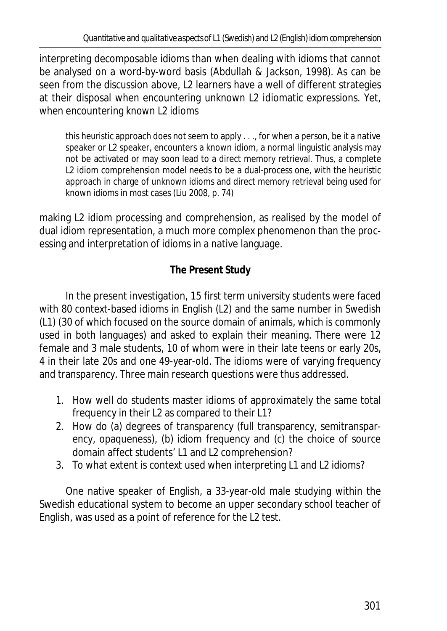interpreting decomposable idioms than when dealing with idioms that cannot be analysed on a word-by-word basis (Abdullah & Jackson, 1998). As can be seen from the discussion above, L2 learners have a well of different strategies at their disposal when encountering unknown L2 idiomatic expressions. Yet, when encountering *known* L2 idioms

this *heuristic* approach does not seem to apply . . ., for when a person, be it a native speaker or L2 speaker, encounters a known idiom, a normal linguistic analysis may not be activated or may soon lead to a direct memory retrieval. Thus, a complete L2 idiom comprehension model needs to be a dual-process one, with the *heuristic* approach in charge of unknown idioms and direct memory retrieval being used for known idioms in most cases (Liu 2008, p. 74)

making L2 idiom processing and comprehension, as realised by the model of dual idiom representation, a much more complex phenomenon than the processing and interpretation of idioms in a native language.

# **The Present Study**

In the present investigation, 15 first term university students were faced with 80 context-based idioms in English (L2) and the same number in Swedish (L1) (30 of which focused on the source domain of animals, which is commonly used in both languages) and asked to explain their meaning. There were 12 female and 3 male students, 10 of whom were in their late teens or early 20s, 4 in their late 20s and one 49-year-old. The idioms were of varying frequency and transparency. Three main research questions were thus addressed.

- 1. How well do students master idioms of approximately the same total frequency in their L2 as compared to their L1?
- 2. How do (a) degrees of transparency (full transparency, semitransparency, opaqueness), (b) idiom frequency and (c) the choice of source domain affect students' L1 and L2 comprehension?
- 3. To what extent is context used when interpreting L1 and L2 idioms?

One native speaker of English, a 33-year-old male studying within the Swedish educational system to become an upper secondary school teacher of English, was used as a point of reference for the L2 test.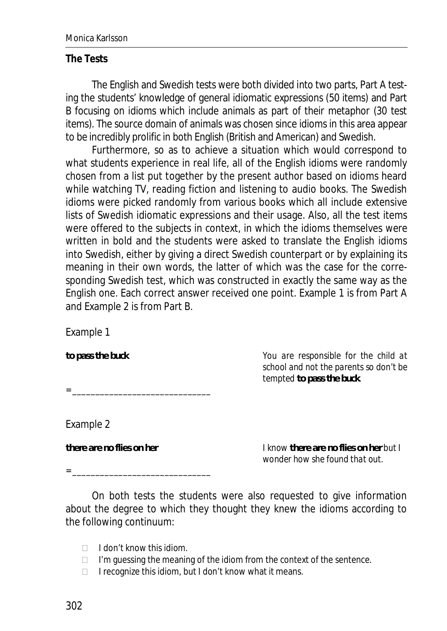#### **The Tests**

The English and Swedish tests were both divided into two parts, Part A testing the students' knowledge of general idiomatic expressions (50 items) and Part B focusing on idioms which include animals as part of their metaphor (30 test items). The source domain of animals was chosen since idioms in this area appear to be incredibly prolific in both English (British and American) and Swedish.

Furthermore, so as to achieve a situation which would correspond to what students experience in real life, all of the English idioms were randomly chosen from a list put together by the present author based on idioms heard while watching TV, reading fiction and listening to audio books. The Swedish idioms were picked randomly from various books which all include extensive lists of Swedish idiomatic expressions and their usage. Also, all the test items were offered to the subjects in context, in which the idioms themselves were written in bold and the students were asked to translate the English idioms into Swedish, either by giving a direct Swedish counterpart or by explaining its meaning in their own words, the latter of which was the case for the corresponding Swedish test, which was constructed in exactly the same way as the English one. Each correct answer received one point. Example 1 is from Part A and Example 2 is from Part B.

Example 1

*to pass the buck You are responsible for the child at* 

*= \_\_\_\_\_\_\_\_\_\_\_\_\_\_\_\_\_\_\_\_\_\_\_\_\_\_\_\_\_\_* 

Example 2

*there are no flies on her I know there are no flies on her but I wonder how she found that out.* 

*school and not the parents so don't be* 

*tempted to pass the buck.* 

*= \_\_\_\_\_\_\_\_\_\_\_\_\_\_\_\_\_\_\_\_\_\_\_\_\_\_\_\_\_\_* 

On both tests the students were also requested to give information about the degree to which they thought they knew the idioms according to the following continuum:

- $\Box$  I don't know this idiom.
- $\Box$  I'm quessing the meaning of the idiom from the context of the sentence.
- $\Box$  I recognize this idiom, but I don't know what it means.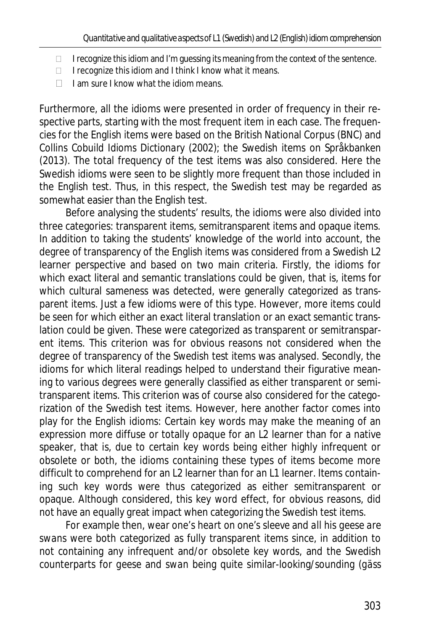- $\Box$  I recognize this idiom and I'm guessing its meaning from the context of the sentence.
- $\Box$  I recognize this idiom and I think I know what it means.
- $\Box$  I am sure I know what the idiom means.

Furthermore, all the idioms were presented in order of frequency in their respective parts, starting with the most frequent item in each case. The frequencies for the English items were based on the British National Corpus (BNC) and *Collins Cobuild Idioms Dictionary* (2002); the Swedish items on Språkbanken (2013). The total frequency of the test items was also considered. Here the Swedish idioms were seen to be slightly more frequent than those included in the English test. Thus, in this respect, the Swedish test may be regarded as somewhat easier than the English test.

Before analysing the students' results, the idioms were also divided into three categories: transparent items, semitransparent items and opaque items. In addition to taking the students' knowledge of the world into account, the degree of transparency of the English items was considered from a Swedish L2 learner perspective and based on two main criteria. Firstly, the idioms for which exact literal and semantic translations could be given, that is, items for which cultural sameness was detected, were generally categorized as transparent items. Just a few idioms were of this type. However, more items could be seen for which *either* an exact literal translation *or* an exact semantic translation could be given. These were categorized as transparent or semitransparent items. This criterion was for obvious reasons not considered when the degree of transparency of the Swedish test items was analysed. Secondly, the idioms for which literal readings helped to understand their figurative meaning to various degrees were generally classified as either transparent or semitransparent items. This criterion was of course also considered for the categorization of the Swedish test items. However, here another factor comes into play for the English idioms: Certain key words may make the meaning of an expression more diffuse or totally opaque for an L2 learner than for a native speaker, that is, due to certain key words being either highly infrequent or obsolete or both, the idioms containing these types of items become more difficult to comprehend for an L2 learner than for an L1 learner. Items containing such key words were thus categorized as either semitransparent or opaque. Although considered, this key word effect, for obvious reasons, did not have an equally great impact when categorizing the Swedish test items.

For example then, *wear one's heart on one's sleeve* and *all his geese are swans* were both categorized as fully transparent items since, in addition to not containing any infrequent and/or obsolete key words, and the Swedish counterparts for *geese* and *swan* being quite similar-looking/sounding (*gäss*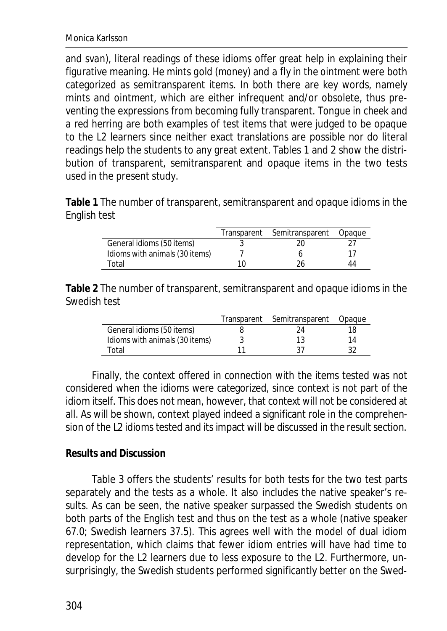and *svan*), literal readings of these idioms offer great help in explaining their figurative meaning. *He mints gold* (*money*) and *a fly in the ointment* were both categorized as semitransparent items. In both there are key words, namely *mints* and *ointment*, which are either infrequent and/or obsolete, thus preventing the expressions from becoming fully transparent. *Tongue in cheek* and *a red herring* are both examples of test items that were judged to be opaque to the L2 learners since neither exact translations are possible nor do literal readings help the students to any great extent. Tables 1 and 2 show the distribution of transparent, semitransparent and opaque items in the two tests used in the present study.

**Table 1** The number of transparent, semitransparent and opaque idioms in the English test

|                                | Transparent | Semitransparent | Opaque |
|--------------------------------|-------------|-----------------|--------|
| General idioms (50 items)      |             |                 |        |
| Idioms with animals (30 items) |             |                 |        |
| Total                          | 10          |                 | 44     |

**Table 2** The number of transparent, semitransparent and opaque idioms in the Swedish test

|                                | Transparent | Semitransparent | Opaque |
|--------------------------------|-------------|-----------------|--------|
| General idioms (50 items)      |             |                 | 18     |
| Idioms with animals (30 items) |             |                 | 14     |
| Total                          | 11          |                 |        |

Finally, the context offered in connection with the items tested was not considered when the idioms were categorized, since context is not part of the idiom itself. This does not mean, however, that context will not be considered at all. As will be shown, context played indeed a significant role in the comprehension of the L2 idioms tested and its impact will be discussed in the result section.

## **Results and Discussion**

Table 3 offers the students' results for both tests for the two test parts separately and the tests as a whole. It also includes the native speaker's results. As can be seen, the native speaker surpassed the Swedish students on both parts of the English test and thus on the test as a whole (native speaker 67.0; Swedish learners 37.5). This agrees well with the model of dual idiom representation, which claims that fewer idiom entries will have had time to develop for the L2 learners due to less exposure to the L2. Furthermore, unsurprisingly, the Swedish students performed significantly better on the Swed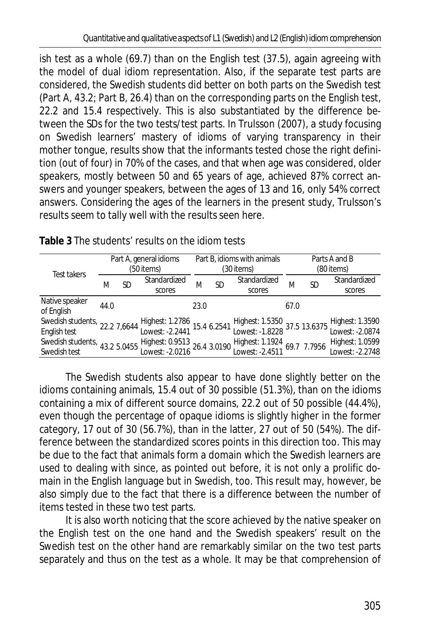ish test as a whole (69.7) than on the English test (37.5), again agreeing with the model of dual idiom representation. Also, if the separate test parts are considered, the Swedish students did better on both parts on the Swedish test (Part A, 43.2; Part B, 26.4) than on the corresponding parts on the English test, 22.2 and 15.4 respectively. This is also substantiated by the difference between the *SD*s for the two tests/test parts. In Trulsson (2007), a study focusing on Swedish learners' mastery of idioms of varying transparency in their mother tongue, results show that the informants tested chose the right definition (out of four) in 70% of the cases, and that when age was considered, older speakers, mostly between 50 and 65 years of age, achieved 87% correct answers and younger speakers, between the ages of 13 and 16, only 54% correct answers. Considering the ages of the learners in the present study, Trulsson's results seem to tally well with the results seen here.

|                                                                                                                   |      |    | Part A, general idioms |      |    | Part B, idioms with animals                                |            |    | Parts A and B                                                      |  |
|-------------------------------------------------------------------------------------------------------------------|------|----|------------------------|------|----|------------------------------------------------------------|------------|----|--------------------------------------------------------------------|--|
| Test takers                                                                                                       |      |    | (50 items)             |      |    | (30 items)                                                 | (80 items) |    |                                                                    |  |
|                                                                                                                   | Μ    | SD | Standardized           | М    | SD | Standardized                                               | М          | SD | Standardized                                                       |  |
|                                                                                                                   |      |    | scores                 |      |    | scores                                                     |            |    | scores                                                             |  |
| Native speaker<br>of English                                                                                      | 44.0 |    |                        | 23.0 |    |                                                            | 67.0       |    |                                                                    |  |
| Swedish students, 22.2 7,6644 Highest: 1.2786 15.4 6.2541<br>English test                                         |      |    |                        |      |    |                                                            |            |    | Highest: 1.5350<br>Lowest: -1.8228 37.5 13.6375<br>Lowest: -2.0874 |  |
|                                                                                                                   |      |    |                        |      |    |                                                            |            |    |                                                                    |  |
| Swedish students, 43.2 5.0455 Highest: 0.9513 26.4 3.0190<br>Swedish test 13.2 5.0455 Lowest: -2.0216 26.4 3.0190 |      |    |                        |      |    | Highest: 1.1924 69.7 7.7956<br>Lowest: -2.4511 69.7 7.7956 |            |    | Highest: 1.0599                                                    |  |
|                                                                                                                   |      |    |                        |      |    |                                                            |            |    | Lowest: -2.2748                                                    |  |

**Table 3** The students' results on the idiom tests

The Swedish students also appear to have done slightly better on the idioms containing animals, 15.4 out of 30 possible (51.3%), than on the idioms containing a mix of different source domains, 22.2 out of 50 possible (44.4%), even though the percentage of opaque idioms is slightly higher in the former category, 17 out of 30 (56.7%), than in the latter, 27 out of 50 (54%). The difference between the standardized scores points in this direction too. This may be due to the fact that animals form a domain which the Swedish learners are used to dealing with since, as pointed out before, it is not only a prolific domain in the English language but in Swedish, too. This result may, however, be also simply due to the fact that there is a difference between the number of items tested in these two test parts.

It is also worth noticing that the score achieved by the native speaker on the English test on the one hand and the Swedish speakers' result on the Swedish test on the other hand are remarkably similar on the two test parts separately and thus on the test as a whole. It may be that comprehension of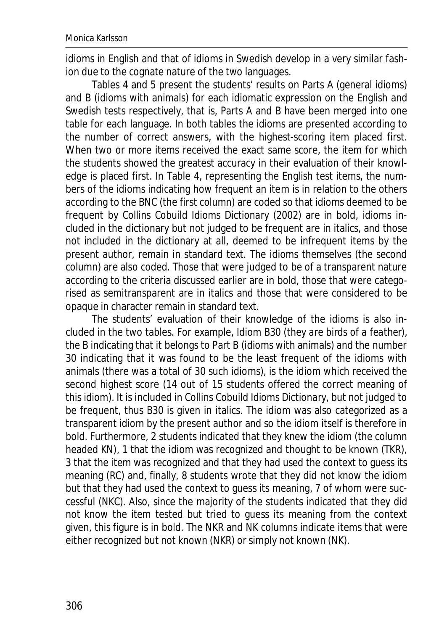idioms in English and that of idioms in Swedish develop in a very similar fashion due to the cognate nature of the two languages.

Tables 4 and 5 present the students' results on Parts A (general idioms) and B (idioms with animals) for each idiomatic expression on the English and Swedish tests respectively, that is, Parts A and B have been merged into one table for each language. In both tables the idioms are presented according to the number of correct answers, with the highest-scoring item placed first. When two or more items received the exact same score, the item for which the students showed the greatest accuracy in their evaluation of their knowledge is placed first. In Table 4, representing the English test items, the numbers of the idioms indicating how frequent an item is in relation to the others according to the BNC (the first column) are coded so that idioms deemed to be frequent by *Collins Cobuild Idioms Dictionary* (2002) are in bold, idioms included in the dictionary but not judged to be frequent are in italics, and those not included in the dictionary at all, deemed to be infrequent items by the present author, remain in standard text. The idioms themselves (the second column) are also coded. Those that were judged to be of a transparent nature according to the criteria discussed earlier are in bold, those that were categorised as semitransparent are in italics and those that were considered to be opaque in character remain in standard text.

The students' evaluation of their knowledge of the idioms is also included in the two tables. For example, Idiom B30 (*they are birds of a feather*), the B indicating that it belongs to Part B (idioms with animals) and the number 30 indicating that it was found to be the least frequent of the idioms with animals (there was a total of 30 such idioms), is the idiom which received the second highest score (14 out of 15 students offered the correct meaning of this idiom). It is included in *Collins Cobuild Idioms Dictionary*, but not judged to be frequent, thus B30 is given in italics. The idiom was also categorized as a transparent idiom by the present author and so the idiom itself is therefore in bold. Furthermore, 2 students indicated that they knew the idiom (the column headed KN), 1 that the idiom was recognized and thought to be known (TKR), 3 that the item was recognized and that they had used the context to guess its meaning (RC) and, finally, 8 students wrote that they did not know the idiom but that they had used the context to guess its meaning, 7 of whom were successful (NKC). Also, since the majority of the students indicated that they did not know the item tested but tried to guess its meaning from the context given, this figure is in bold. The NKR and NK columns indicate items that were either recognized but not known (NKR) or simply not known (NK).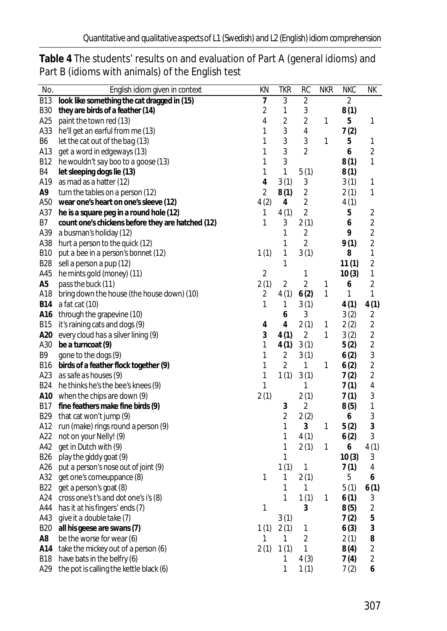| No.        | English idiom given in context                    | ΚN             | <b>TKR</b>     | RC             | <b>NKR</b> | <b>NKC</b> | NΚ             |
|------------|---------------------------------------------------|----------------|----------------|----------------|------------|------------|----------------|
| <b>B13</b> | look like something the cat dragged in (15)       | 7              | 3              | $\overline{2}$ |            | 2          |                |
| B30        | they are birds of a feather (14)                  | 2              | 1              | 3              |            | 8(1)       |                |
| A25        | paint the town red (13)                           | 4              | $\overline{2}$ | 2              | 1          | 5          | 1              |
| A33        | he'll get an earful from me (13)                  | 1              | 3              | 4              |            | 7(2)       |                |
| B6         | let the cat out of the bag (13)                   | 1              | 3              | 3              | 1          | 5          | 1              |
| A13        | get a word in edgeways (13)                       | 1              | 3              | 2              |            | 6          | $\overline{2}$ |
| B12        | he wouldn't say boo to a goose (13)               | 1              | 3              |                |            | 8(1)       | 1              |
| B4         | let sleeping dogs lie (13)                        | 1              | 1              | 5(1)           |            | 8(1)       |                |
| A19        | as mad as a hatter (12)                           | 4              | 3(1)           | 3              |            | 3(1)       | 1              |
| A9         | turn the tables on a person (12)                  | $\overline{2}$ | 8(1)           | $\overline{2}$ |            | 2(1)       | 1              |
| A50        | wear one's heart on one's sleeve (12)             | 4(2)           | 4              | $\overline{2}$ |            | 4(1)       |                |
| A37        | he is a square peg in a round hole (12)           | 1              | 4(1)           | $\overline{2}$ |            | 5          | 2              |
| Β7         | count one's chickens before they are hatched (12) | 1              | 3              | 2(1)           |            | 6          | $\sqrt{2}$     |
| A39        | a busman's holiday (12)                           |                | 1              | 2              |            | 9          | $\overline{2}$ |
| A38        | hurt a person to the quick (12)                   |                | 1              | $\overline{2}$ |            | 9(1)       | $\overline{2}$ |
| <b>B10</b> | put a bee in a person's bonnet (12)               | 1(1)           | 1              | 3(1)           |            | 8          | $\mathbf{1}$   |
| <b>B28</b> | sell a person a pup (12)                          |                | 1              |                |            | 11(1)      | $\overline{2}$ |
| A45        | he mints gold (money) (11)                        | $\overline{2}$ |                | 1              |            | 10(3)      | 1              |
| A5         | pass the buck (11)                                | 2(1)           | 2              | $\overline{2}$ | 1          | 6          | 2              |
| A18        | bring down the house (the house down) (10)        | 2              | 4(1)           | 6(2)           | 1          | 1          | 1              |
| <b>B14</b> | a fat cat (10)                                    | 1              | 1              | 3(1)           |            | 4(1)       | 4(1)           |
| A16        | through the grapevine (10)                        |                | 6              | 3              |            | 3(2)       | 2              |
| B15        | it's raining cats and dogs (9)                    | 4              | 4              | 2(1)           | 1          | 2(2)       | $\overline{2}$ |
| A20        | every cloud has a silver lining (9)               | 3              | 4(1)           | $\overline{2}$ | 1          | 3(2)       | 2              |
| A30        | be a turncoat (9)                                 | 1              | 4(1)           | 3(1)           |            | 5(2)       | 2              |
| Β9         | gone to the dogs (9)                              | 1              | 2              | 3(1)           |            | 6(2)       | 3              |
| B16        | birds of a feather flock together (9)             | 1              | $\overline{2}$ | 1              | 1          | 6(2)       | $\overline{c}$ |
| A23        | as safe as houses (9)                             | 1              | 1(1)           | 3(1)           |            | 7(2)       | $\sqrt{2}$     |
| <b>B24</b> | he thinks he's the bee's knees (9)                | 1              |                | 1              |            | 7(1)       | 4              |
| A10        | when the chips are down (9)                       | 2(1)           |                | 2(1)           |            | 7(1)       | 3              |
| <b>B17</b> | fine feathers make fine birds (9)                 |                | 3              | 2              |            | 8(5)       | 1              |
| <b>B29</b> | that cat won't jump (9)                           |                | 2              | 2(2)           |            | 6          | 3              |
| A12        | run (make) rings round a person (9)               |                | 1              | 3              | 1          | 5(2)       | $\mathfrak{Z}$ |
| A22        | not on your Nelly! (9)                            |                | 1              | 4(1)           |            | 6(2)       | 3              |
| A42        | get in Dutch with (9)                             |                | 1              | 2(1)           | 1          | 6          | 4(1)           |
| <b>B26</b> | play the giddy goat (9)                           |                | 1              |                |            | 10(3)      | 3              |
| A26        | put a person's nose out of joint (9)              |                | 1(1)           | 1              |            | 7(1)       | 4              |
| A32        | get one's comeuppance (8)                         | 1              | 1              | 2(1)           |            | 5          | 6              |
|            | B22 get a person's goat (8)                       |                | 1              | 1              |            | 5(1)       | 6(1)           |
|            | A24 cross one's t's and dot one's i's (8)         |                | 1              | 1(1)           | 1          | 6(1)       | 3              |
| A44        | has it at his fingers' ends (7)                   | 1              |                | 3              |            | 8(5)       | $\sqrt{2}$     |
| A43        | give it a double take (7)                         |                | 3(1)           |                |            | 7(2)       | 5              |
| <b>B20</b> | all his geese are swans (7)                       | 1(1)           | 2(1)           | 1              |            | 6(3)       | 3              |
| A8         | be the worse for wear (6)                         | 1              | 1              | $\overline{2}$ |            | 2(1)       | 8              |
| A14        | take the mickey out of a person (6)               | 2(1)           | 1(1)           | 1              |            | 8(4)       | $\sqrt{2}$     |
| <b>B18</b> | have bats in the belfry (6)                       |                | 1              | 4(3)           |            | 7(4)       | $\sqrt{2}$     |
| A29        | the pot is calling the kettle black (6)           |                | 1              | 1(1)           |            | 7(2)       | 6              |

**Table 4** The students' results on and evaluation of Part A (general idioms) and Part B (idioms with animals) of the English test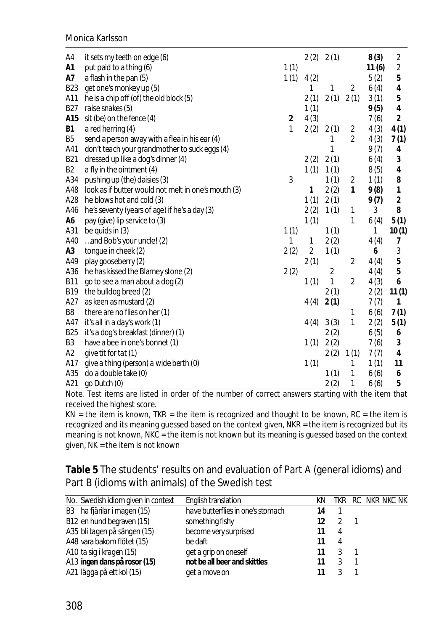Monica Karlsson

| A4             | it sets my teeth on edge (6)                        |      | 2(2)           | 2(1) |                | 8(3)  | $\overline{2}$ |
|----------------|-----------------------------------------------------|------|----------------|------|----------------|-------|----------------|
| A1             | put paid to a thing (6)                             | 1(1) |                |      |                | 11(6) | $\overline{c}$ |
| A7             | a flash in the pan (5)                              | 1(1) | 4(2)           |      |                | 5(2)  | 5              |
| <b>B23</b>     | get one's monkey up (5)                             |      | 1              | 1    | 2              | 6(4)  | 4              |
| A11            | he is a chip off (of) the old block (5)             |      | 2(1)           | 2(1) | 2(1)           | 3(1)  | 5              |
| <b>B27</b>     | raise snakes (5)                                    |      | 1(1)           |      |                | 9(5)  | 4              |
| A15            | sit (be) on the fence (4)                           | 2    | 4(3)           |      |                | 7(6)  | 2              |
| B1             | a red herring $(4)$                                 | 1    | 2(2)           | 2(1) | 2              | 4(3)  | 4(1)           |
| B5             | send a person away with a flea in his ear (4)       |      |                | 1    | 2              | 4(3)  | 7(1)           |
| A41            | don't teach your grandmother to suck eggs (4)       |      |                | 1    |                | 9(7)  | 4              |
| <b>B21</b>     | dressed up like a dog's dinner (4)                  |      | 2(2)           | 2(1) |                | 6(4)  | 3              |
| B2             | a fly in the ointment (4)                           |      | 1(1)           | 1(1) |                | 8(5)  | 4              |
| A34            | pushing up (the) daisies (3)                        | 3    |                | 1(1) | $\overline{2}$ | 1(1)  | 8              |
| A48            | look as if butter would not melt in one's mouth (3) |      | 1              | 2(2) | 1              | 9(8)  | $\mathbf{1}$   |
| A28            | he blows hot and cold (3)                           |      | 1(1)           | 2(1) |                | 9(7)  | $\overline{2}$ |
| A46            | he's seventy (years of age) if he's a day (3)       |      | 2(2)           | 1(1) | 1              | 3     | 8              |
| A <sub>6</sub> | pay (give) lip service to (3)                       |      | 1(1)           |      | 1              | 6(4)  | 5(1)           |
| A31            | be quids in $(3)$                                   | 1(1) |                | 1(1) |                | 1     | 10(1)          |
| A40            | and Bob's your uncle! (2)                           | 1    | 1              | 2(2) |                | 4(4)  | 7              |
| A <sub>3</sub> | tongue in cheek (2)                                 | 2(2) | $\overline{2}$ | 1(1) |                | 6     | 3              |
| A49            | play gooseberry (2)                                 |      | 2(1)           |      | 2              | 4(4)  | 5              |
| A36            | he has kissed the Blarney stone (2)                 | 2(2) |                | 2    |                | 4(4)  | 5              |
| <b>B11</b>     | go to see a man about a dog (2)                     |      | 1(1)           | 1    | 2              | 4(3)  | 6              |
| <b>B19</b>     | the bulldog breed (2)                               |      |                | 2(1) |                | 2(2)  | 11(1)          |
| A27            | as keen as mustard (2)                              |      | 4(4)           | 2(1) |                | 7(7)  | 1              |
| B8             | there are no flies on her (1)                       |      |                |      | 1              | 6(6)  | 7(1)           |
| A47            | it's all in a day's work (1)                        |      | 4(4)           | 3(3) | 1              | 2(2)  | 5(1)           |
| <b>B25</b>     | it's a dog's breakfast (dinner) (1)                 |      |                | 2(2) |                | 6(5)  | 6              |
| B3             | have a bee in one's bonnet (1)                      |      | 1(1)           | 2(2) |                | 7(6)  | 3              |
| A2             | give tit for tat (1)                                |      |                | 2(2) | 1(1)           | 7(7)  | 4              |
| A17            | give a thing (person) a wide berth (0)              |      | 1(1)           |      | 1              | 1(1)  | 11             |
| A35            | do a double take (0)                                |      |                | 1(1) | 1              | 6(6)  | 6              |
| A21            | go Dutch (0)                                        |      |                | 2(2) | 1              | 6(6)  | 5              |

*Note.* Test items are listed in order of the number of correct answers starting with the item that received the highest score.

 $KN =$  the item is known, TKR = the item is recognized and thought to be known, RC = the item is recognized and its meaning guessed based on the context given, NKR = the item is recognized but its meaning is not known, NKC = the item is not known but its meaning is guessed based on the context given, NK = the item is not known

**Table 5** The students' results on and evaluation of Part A (general idioms) and Part B (idioms with animals) of the Swedish test

| No. Swedish idiom given in context | English translation               | ΚN |   | TKR RC NKR NKC NK |
|------------------------------------|-----------------------------------|----|---|-------------------|
| B3 ha fjärilar i magen (15)        | have butterflies in one's stomach | 14 |   |                   |
| B12 en hund begraven (15)          | something fishy                   | 12 |   |                   |
| A35 bli tagen på sängen (15)       | become very surprised             |    | 4 |                   |
| A48 vara bakom flötet (15)         | be daft                           |    | 4 |                   |
| A10 ta sig i kragen (15)           | get a grip on oneself             |    |   |                   |
| A13 ingen dans på rosor (15)       | not be all beer and skittles      |    |   |                   |
| A21 lägga på ett kol (15)          | get a move on                     |    |   |                   |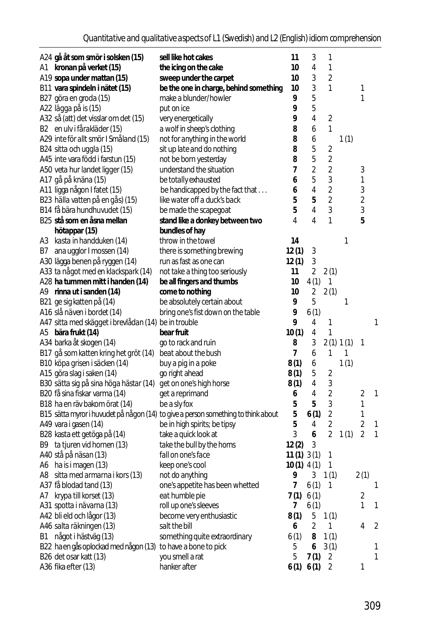|      | A24 gå åt som smör i solsken (15)                    | sell like hot cakes                                                               | 11           | 3    | 1                       |           |                |   |
|------|------------------------------------------------------|-----------------------------------------------------------------------------------|--------------|------|-------------------------|-----------|----------------|---|
|      | A1 kronan på verket (15)                             | the icing on the cake                                                             | 10           | 4    | 1                       |           |                |   |
|      | A19 sopa under mattan (15)                           | sweep under the carpet                                                            | 10           | 3    | $\overline{2}$          |           |                |   |
|      | B11 vara spindeln i nätet (15)                       | be the one in charge, behind something                                            | 10           | 3    | 1                       |           | 1              |   |
|      | B27 göra en groda (15)                               | make a blunder/howler                                                             | 9            | 5    |                         |           | 1              |   |
|      | A22 lägga på is (15)                                 | put on ice                                                                        | 9            | 5    |                         |           |                |   |
|      | A32 så (att) det visslar om det (15)                 | very energetically                                                                | 9            | 4    | 2                       |           |                |   |
|      | B2 en ulv i fårakläder (15)                          | a wolf in sheep's clothing                                                        | 8            | 6    | 1                       |           |                |   |
|      | A29 inte för allt smör I Småland (15)                | not for anything in the world                                                     | 8            | 6    |                         | 1(1)      |                |   |
|      | B24 sitta och uggla (15)                             | sit up late and do nothing                                                        | 8            | 5    | 2                       |           |                |   |
|      | A45 inte vara född i farstun (15)                    | not be born yesterday                                                             | 8            | 5    | $\overline{2}$          |           |                |   |
|      | A50 veta hur landet ligger (15)                      | understand the situation                                                          | 7            | 2    | 2                       |           | 3              |   |
|      | A17 gå på knäna (15)                                 | be totally exhausted                                                              | 6            | 5    | 3                       |           | 1              |   |
|      | A11 ligga någon I fatet (15)                         | be handicapped by the fact that                                                   | 6            | 4    | $\overline{2}$          |           | 3              |   |
|      | B23 hälla vatten på en gås) (15)                     | like water off a duck's back                                                      | 5            | 5    | $\overline{2}$          |           | 2              |   |
|      | B14 få bära hundhuvudet (15)                         | be made the scapegoat                                                             | 5            | 4    | 3                       |           | 3              |   |
|      | B25 stå som en åsna mellan                           | stand like a donkey between two                                                   | 4            | 4    | 1                       |           | 5              |   |
|      |                                                      |                                                                                   |              |      |                         |           |                |   |
|      | hötappar (15)                                        | bundles of hay<br>throw in the towel                                              | 14           |      |                         |           |                |   |
|      | A3 kasta in handduken (14)                           |                                                                                   |              |      |                         | 1         |                |   |
| B7   | ana ugglor I mossen (14)                             | there is something brewing                                                        | 12(1)        | 3    |                         |           |                |   |
|      | A30 lägga benen på ryggen (14)                       | run as fast as one can                                                            | 12(1)        | 3    |                         |           |                |   |
|      | A33 ta något med en klackspark (14)                  | not take a thing too seriously                                                    | 11           | 2    | 2(1)                    |           |                |   |
|      | A28 ha tummen mitt i handen (14)                     | be all fingers and thumbs                                                         | 10           | 4(1) | 1                       |           |                |   |
|      | A9 rinna ut i sanden (14)                            | come to nothing                                                                   | 10           | 2    | 2(1)                    |           |                |   |
|      | B21 ge sig katten på (14)                            | be absolutely certain about                                                       | 9            | 5    |                         | 1         |                |   |
|      | A16 slå näven i bordet (14)                          | bring one's fist down on the table                                                | 9            | 6(1) |                         |           |                |   |
|      | A47 sitta med skägget i brevlådan (14) be in trouble |                                                                                   | 9            | 4    | 1                       |           |                | 1 |
|      | A5 bära frukt (14)                                   | bear fruit                                                                        | 10(1)        | 4    | 1                       |           |                |   |
|      | A34 barka åt skogen (14)                             | go to rack and ruin                                                               | 8            | 3    |                         | 2(1) 1(1) | 1              |   |
|      | B17 gå som katten kring het gröt (14)                | beat about the bush                                                               | 7            | 6    | 1                       | 1         |                |   |
|      | B10 köpa grisen i säcken (14)                        | buy a pig in a poke                                                               | 8(1)         | 6    |                         | 1(1)      |                |   |
|      | A15 göra slag i saken (14)                           | go right ahead                                                                    | 8(1)         | 5    | $\overline{2}$          |           |                |   |
|      | B30 sätta sig på sina höga hästar (14)               | get on one's high horse                                                           | 8(1)         | 4    | 3                       |           |                |   |
|      | B20 få sina fiskar varma (14)                        | get a reprimand                                                                   | 6            | 4    | $\overline{2}$          |           | 2              | 1 |
|      | B18 ha en räv bakom örat (14)                        | be a sly fox                                                                      | 5            | 5    | 3                       |           | 1              |   |
|      |                                                      | B15 sätta myror i huvudet på någon (14) to give a person something to think about | 5            | 6(1) | $\overline{\mathbf{c}}$ |           | 1              |   |
|      | A49 vara i gasen (14)                                | be in high spirits; be tipsy                                                      | 5            | 4    | $\overline{2}$          |           | $\overline{2}$ | 1 |
|      | B28 kasta ett getöga på (14)                         | take a quick look at                                                              | 3            | 6    | 2                       | 1(1)      | $\overline{2}$ | 1 |
|      | B9 ta tjuren vid hornen (13)                         | take the bull by the horns                                                        | 12(2)        | 3    |                         |           |                |   |
|      | A40 stå på näsan (13)                                | fall on one's face                                                                | 11(1)3(1)    |      | 1                       |           |                |   |
|      | A6 ha is i magen (13)                                | keep one's cool                                                                   | $10(1)$ 4(1) |      | 1                       |           |                |   |
|      | A8 sitta med armarna i kors (13)                     | not do anything                                                                   | 9            |      | $3 \t1(1)$              |           | 2(1)           |   |
|      | A37 få blodad tand (13)                              | one's appetite has been whetted                                                   | 7            | 6(1) | 1                       |           |                | 1 |
|      | A7 krypa till korset (13)                            | eat humble pie                                                                    | 7(1)         | 6(1) |                         |           | 2              |   |
|      | A31 spotta i nävarna (13)                            | roll up one's sleeves                                                             | 7            | 6(1) |                         |           | 1              | 1 |
|      | A42 bli eld och lågor (13)                           | become very enthusiastic                                                          | 8(1)         | 5    | 1(1)                    |           |                |   |
|      | A46 salta räkningen (13)                             | salt the bill                                                                     | 6            | 2    | 1                       |           | 4              | 2 |
| B1 - | något i hästväg (13)                                 | something quite extraordinary                                                     | 6(1)         | 8    | 1(1)                    |           |                |   |
|      | B22 ha en gås oplockad med någon (13)                | to have a bone to pick                                                            | 5            | 6    | 3(1)                    |           |                | 1 |
|      | B26 det osar katt (13)                               | you smell a rat                                                                   | 5            | 7(1) | 2                       |           |                | 1 |
|      | A36 fika efter (13)                                  | hanker after                                                                      | 6(1) 6(1)    |      | $\overline{2}$          |           | 1              |   |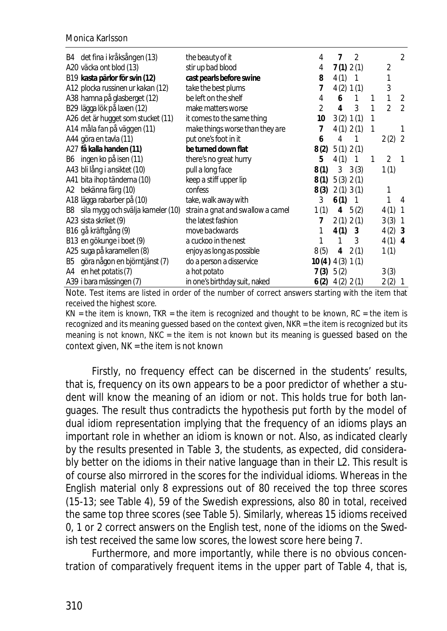|    | B4 det fina i kråksången (13)      | the beauty of it                  | 4                    | 7         | 2                          |    |                | 2              |
|----|------------------------------------|-----------------------------------|----------------------|-----------|----------------------------|----|----------------|----------------|
|    | A20 väcka ont blod (13)            | stir up bad blood                 | 4                    |           | 7(1) 2(1)                  |    | 2              |                |
|    | B19 kasta pärlor för svin (12)     | cast pearls before swine          | 8                    | 4(1)      | -1                         |    | 1              |                |
|    | A12 plocka russinen ur kakan (12)  | take the best plums               | 7                    |           | 4(2) 1(1)                  |    | 3              |                |
|    | A38 hamna på glasberget (12)       | be left on the shelf              | 4                    | 6         | $\mathbf{1}$               | 1  | 1              | 2              |
|    | B29 lägga lök på laxen (12)        | make matters worse                | $\mathfrak{D}$       | 4         | 3                          | 1  | $\mathfrak{D}$ | $\mathfrak{D}$ |
|    | A26 det är hugget som stucket (11) | it comes to the same thing        | 10                   |           | 3(2) 1(1)                  | 1  |                |                |
|    | A14 måla fan på väggen (11)        | make things worse than they are   | 7                    |           | 4(1) 2(1)                  | 1  |                |                |
|    | A44 göra en tavla (11)             | put one's foot in it              | 6                    | 4         |                            |    | 2(2)           | -2             |
|    | A27 få kalla handen (11)           | be turned down flat               | 8(2) 5(1) 2(1)       |           |                            |    |                |                |
|    | B6 ingen ko på isen (11)           | there's no great hurry            | 5                    | 4(1)      | $\overline{\phantom{0}}$ 1 | -1 | $\overline{2}$ | $\mathbf 1$    |
|    | A43 bli lång i ansiktet (10)       | pull a long face                  | 8(1)                 |           | $3 \quad 3(3)$             |    | 1(1)           |                |
|    | A41 bita ihop tänderna (10)        | keep a stiff upper lip            | 8(1)                 | 5(3) 2(1) |                            |    |                |                |
| A2 | bekänna färg (10)                  | confess                           | 8(3)                 |           | $2(1)$ 3(1)                |    | 1              |                |
|    | A18 lägga rabarber på (10)         | take, walk away with              | 3                    | $6(1)$ 1  |                            |    | 1              | 4              |
| B8 | sila mygg och svälja kameler (10)  | strain a gnat and swallow a camel | 1(1)                 | 4         | 5(2)                       |    | 4(1)           | -1             |
|    | A23 sista skriket (9)              | the latest fashion                | 7                    |           | 2(1) 2(1)                  |    | 3(3)           | -1             |
|    | B16 gå kräftgång (9)               | move backwards                    | 1                    | 4(1)      | 3                          |    | 4(2)           | -3             |
|    | B13 en gökunge i boet (9)          | a cuckoo in the nest              |                      | 1         | 3                          |    | 4(1)           | $\overline{4}$ |
|    | A25 suga på karamellen (8)         | enjoy as long as possible         | 8(5)                 | 4         | 2(1)                       |    | 1(1)           |                |
| B5 | göra någon en björntjänst (7)      | do a person a disservice          | $10(4)$ 4 (3) $1(1)$ |           |                            |    |                |                |
| A4 | en het potatis (7)                 | a hot potato                      | 7(3) 5(2)            |           |                            |    | 3(3)           |                |
|    | A39 i bara mässingen (7)           | in one's birthday suit, naked     | $6(2)$ $4(2)$ $2(1)$ |           |                            |    | 2(2)           | -1             |

Note. Test items are listed in order of the number of correct answers starting with the item that received the highest score.

 $KN =$  the item is known, TKR = the item is recognized and thought to be known, RC = the item is recognized and its meaning guessed based on the context given, NKR = the item is recognized but its meaning is not known, NKC = the item is not known but its meaning is guessed based on the context given, NK = the item is not known

Firstly, no frequency effect can be discerned in the students' results, that is, frequency on its own appears to be a poor predictor of whether a student will know the meaning of an idiom or not. This holds true for both languages. The result thus contradicts the hypothesis put forth by the model of dual idiom representation implying that the frequency of an idioms plays an important role in whether an idiom is known or not. Also, as indicated clearly by the results presented in Table 3, the students, as expected, did considerably better on the idioms in their native language than in their L2. This result is of course also mirrored in the scores for the individual idioms. Whereas in the English material only 8 expressions out of 80 received the top three scores (15-13; see Table 4), 59 of the Swedish expressions, also 80 in total, received the same top three scores (see Table 5). Similarly, whereas 15 idioms received 0, 1 or 2 correct answers on the English test, none of the idioms on the Swedish test received the same low scores, the lowest score here being 7.

Furthermore, and more importantly, while there is no obvious concentration of comparatively frequent items in the upper part of Table 4, that is,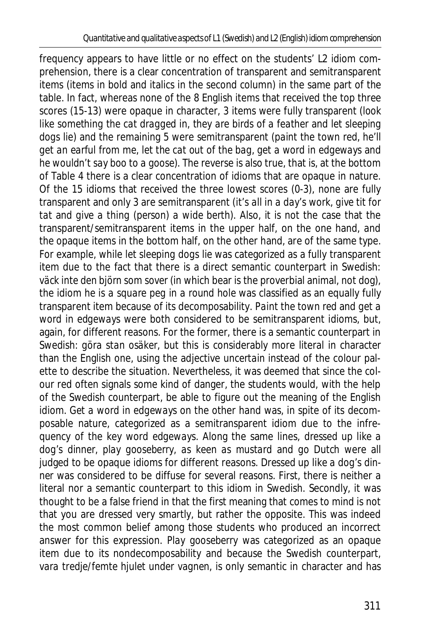frequency appears to have little or no effect on the students' L2 idiom comprehension, there is a clear concentration of transparent and semitransparent items (items in bold and italics in the second column) in the same part of the table. In fact, whereas none of the 8 English items that received the top three scores (15-13) were opaque in character, 3 items were fully transparent (*look like something the cat dragged in*, *they are birds of a feather* and *let sleeping dogs lie*) and the remaining 5 were semitransparent (*paint the town red*, *he'll get an earful from me*, *let the cat out of the bag, get a word in edgeways* and *he wouldn't say boo to a goose*). The reverse is also true, that is, at the bottom of Table 4 there is a clear concentration of idioms that are opaque in nature. Of the 15 idioms that received the three lowest scores (0-3), none are fully transparent and only 3 are semitransparent (*it's all in a day's work*, *give tit for tat* and *give a thing (person) a wide berth*). Also, it is not the case that the transparent/semitransparent items in the upper half, on the one hand, and the opaque items in the bottom half, on the other hand, are of the same type. For example, while *let sleeping dogs lie* was categorized as a fully transparent item due to the fact that there is a direct semantic counterpart in Swedish: *väck inte den björn som sover* (in which bear is the proverbial animal, not dog), the idiom *he is a square peg in a round hole* was classified as an equally fully transparent item because of its decomposability. *Paint the town red* and *get a word in edgeways* were both considered to be semitransparent idioms, but, again, for different reasons. For the former, there is a semantic counterpart in Swedish: *göra stan osäker*, but this is considerably more literal in character than the English one, using the adjective *uncertain* instead of the colour palette to describe the situation. Nevertheless, it was deemed that since the colour red often signals some kind of danger, the students would, with the help of the Swedish counterpart, be able to figure out the meaning of the English idiom. *Get a word in edgeways* on the other hand was, in spite of its decomposable nature, categorized as a semitransparent idiom due to the infrequency of the key word *edgeways*. Along the same lines, *dressed up like a dog's dinner*, *play gooseberry*, *as keen as mustard* and *go Dutch* were all judged to be opaque idioms for different reasons. *Dressed up like a dog's dinner* was considered to be diffuse for several reasons. First, there is neither a literal nor a semantic counterpart to this idiom in Swedish. Secondly, it was thought to be a false friend in that the first meaning that comes to mind is not that you are dressed very smartly, but rather the opposite. This was indeed the most common belief among those students who produced an incorrect answer for this expression. *Play gooseberry* was categorized as an opaque item due to its nondecomposability and because the Swedish counterpart, *vara tredje/femte hjulet under vagnen*, is only semantic in character and has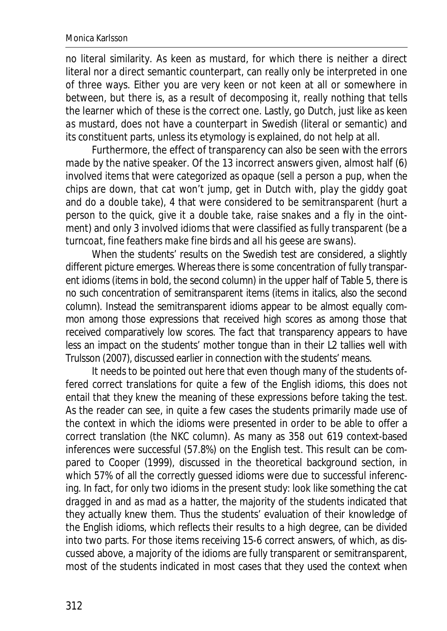no literal similarity. *As keen as mustard*, for which there is neither a direct literal nor a direct semantic counterpart, can really only be interpreted in one of three ways. Either you are very keen or not keen at all or somewhere in between, but there is, as a result of decomposing it, really nothing that tells the learner which of these is the correct one. Lastly, *go Dutch*, just like *as keen as mustard*, does not have a counterpart in Swedish (literal or semantic) and its constituent parts, unless its etymology is explained, do not help at all.

Furthermore, the effect of transparency can also be seen with the errors made by the native speaker. Of the 13 incorrect answers given, almost half (6) involved items that were categorized as opaque (*sell a person a pup*, *when the chips are down*, *that cat won't jump*, *get in Dutch with*, *play the giddy goat* and *do a double take*), 4 that were considered to be semitransparent (*hurt a person to the quick*, *give it a double take*, *raise snakes* and *a fly in the ointment*) and only 3 involved idioms that were classified as fully transparent (*be a turncoat*, *fine feathers make fine birds* and *all his geese are swans*).

When the students' results on the Swedish test are considered, a slightly different picture emerges. Whereas there is some concentration of fully transparent idioms (items in bold, the second column) in the upper half of Table 5, there is no such concentration of semitransparent items (items in italics, also the second column). Instead the semitransparent idioms appear to be almost equally common among those expressions that received high scores as among those that received comparatively low scores. The fact that transparency appears to have less an impact on the students' mother tongue than in their L2 tallies well with Trulsson (2007), discussed earlier in connection with the students' means.

It needs to be pointed out here that even though many of the students offered correct translations for quite a few of the English idioms, this does not entail that they *knew* the meaning of these expressions before taking the test. As the reader can see, in quite a few cases the students primarily made use of the context in which the idioms were presented in order to be able to offer a correct translation (the NKC column). As many as 358 out 619 context-based inferences were successful (57.8%) on the English test. This result can be compared to Cooper (1999), discussed in the theoretical background section, in which 57% of all the correctly guessed idioms were due to successful inferencing. In fact, for only two idioms in the present study: *look like something the cat dragged in* and *as mad as a hatter*, the majority of the students indicated that they actually knew them. Thus the students' evaluation of their knowledge of the English idioms, which reflects their results to a high degree, can be divided into two parts. For those items receiving 15-6 correct answers, of which, as discussed above, a majority of the idioms are fully transparent or semitransparent, most of the students indicated in most cases that they used the context when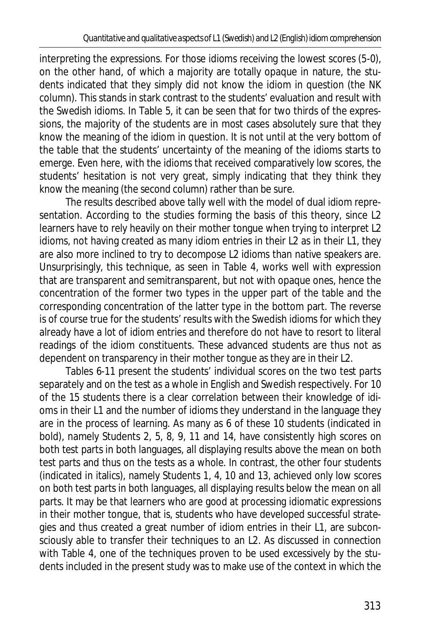interpreting the expressions. For those idioms receiving the lowest scores (5-0), on the other hand, of which a majority are totally opaque in nature, the students indicated that they simply did not know the idiom in question (the NK column). This stands in stark contrast to the students' evaluation and result with the Swedish idioms. In Table 5, it can be seen that for two thirds of the expressions, the majority of the students are in most cases absolutely sure that they know the meaning of the idiom in question. It is not until at the very bottom of the table that the students' uncertainty of the meaning of the idioms starts to emerge. Even here, with the idioms that received comparatively low scores, the students' hesitation is not very great, simply indicating that they think they know the meaning (the second column) rather than be sure.

The results described above tally well with the model of dual idiom representation. According to the studies forming the basis of this theory, since L2 learners have to rely heavily on their mother tongue when trying to interpret L2 idioms, not having created as many idiom entries in their L2 as in their L1, they are also more inclined to try to decompose L2 idioms than native speakers are. Unsurprisingly, this technique, as seen in Table 4, works well with expression that are transparent and semitransparent, but not with opaque ones, hence the concentration of the former two types in the upper part of the table and the corresponding concentration of the latter type in the bottom part. The reverse is of course true for the students' results with the Swedish idioms for which they already have a lot of idiom entries and therefore do not have to resort to literal readings of the idiom constituents. These advanced students are thus not as dependent on transparency in their mother tongue as they are in their L2.

Tables 6-11 present the students' individual scores on the two test parts separately and on the test as a whole in English and Swedish respectively. For 10 of the 15 students there is a clear correlation between their knowledge of idioms in their L1 and the number of idioms they understand in the language they are in the process of learning. As many as 6 of these 10 students (indicated in bold), namely Students 2, 5, 8, 9, 11 and 14, have consistently high scores on both test parts in both languages, all displaying results above the mean on both test parts and thus on the tests as a whole. In contrast, the other four students (indicated in italics), namely Students 1, 4, 10 and 13, achieved only low scores on both test parts in both languages, all displaying results below the mean on all parts. It may be that learners who are good at processing idiomatic expressions in their mother tongue, that is, students who have developed successful strategies and thus created a great number of idiom entries in their L1, are subconsciously able to transfer their techniques to an L2. As discussed in connection with Table 4, one of the techniques proven to be used excessively by the students included in the present study was to make use of the context in which the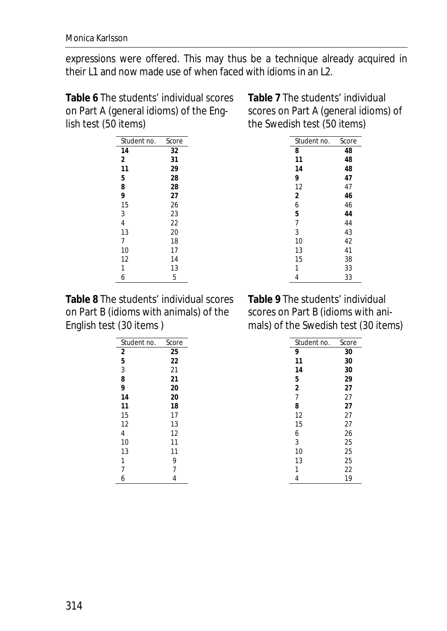expressions were offered. This may thus be a technique already acquired in their L1 and now made use of when faced with idioms in an L2.

**Table 6** The students' individual scores on Part A (general idioms) of the English test (50 items)

| Student no.    | Score |
|----------------|-------|
| 14             | 32    |
| 2              | 31    |
| 11             | 29    |
| 5              | 28    |
| 8              | 28    |
| 9              | 27    |
| 15             | 26    |
| 3              | 23    |
| $\overline{4}$ | 22    |
| 13             | 20    |
| 7              | 18    |
| 10             | 17    |
| 12             | 14    |
| 1              | 13    |
| 6              | 5     |

**Table 7** The students' individual scores on Part A (general idioms) of the Swedish test (50 items)

| Student no.    | Score |
|----------------|-------|
| 8              | 48    |
| 11             | 48    |
| 14             | 48    |
| 9              | 47    |
| 12             | 47    |
| 2              | 46    |
| 6              | 46    |
| 5              | 44    |
| $\overline{7}$ | 44    |
| 3              | 43    |
| 10             | 42    |
| 13             | 41    |
| 15             | 38    |
| 1              | 33    |
| 4              | 33    |

**Table 8** The students' individual scores on Part B (idioms with animals) of the English test (30 items )

| Student no.    | Score |
|----------------|-------|
| $\overline{2}$ | 25    |
| 5              | 22    |
| 3              | 21    |
| 8              | 21    |
| 9              | 20    |
| 14             | 20    |
| 11             | 18    |
| 15             | 17    |
| 12             | 13    |
| 4              | 12    |
| 10             | 11    |
| 13             | 11    |
| 1              | 9     |
| 7              | 7     |
| 6              | 4     |

**Table 9** The students' individual scores on Part B (idioms with animals) of the Swedish test (30 items)

| Student no.    | Score |
|----------------|-------|
| 9              | 30    |
| 11             | 30    |
| 14             | 30    |
| 5              | 29    |
| 2              | 27    |
| $\overline{7}$ | 27    |
| 8              | 27    |
| 12             | 27    |
| 15             | 27    |
| 6              | 26    |
| 3              | 25    |
| 10             | 25    |
| 13             | 25    |
| 1              | 22    |
| 4              | 19    |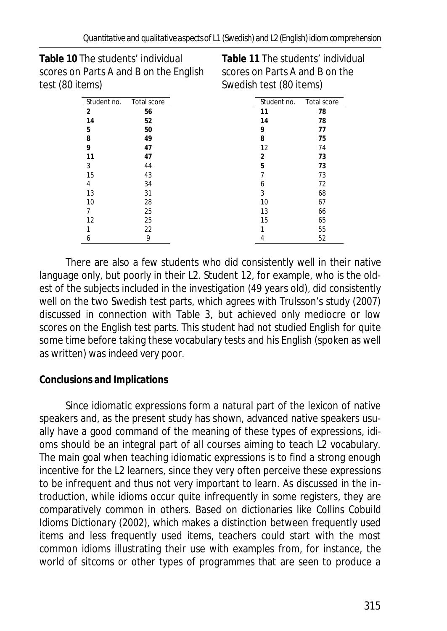**Table 10** The students' individual scores on Parts A and B on the English test (80 items)

**Table 11** The students' individual scores on Parts A and B on the Swedish test (80 items)

| Student no.    | Total score | Student no. | Total score |
|----------------|-------------|-------------|-------------|
| $\overline{2}$ | 56          | 11          | 78          |
| 14             | 52          | 14          | 78          |
| 5              | 50          | 9           | 77          |
| 8              | 49          | 8           | 75          |
| 9              | 47          | 12          | 74          |
| 11             | 47          | 2           | 73          |
| 3              | 44          | 5           | 73          |
| 15             | 43          |             | 73          |
| 4              | 34          | h           | 72          |
| 13             | 31          | 3           | 68          |
| 10             | 28          | 10          | 67          |
|                | 25          | 13          | 66          |
| 12             | 25          | 15          | 65          |
|                | 22          |             | 55          |
| 6              | 9           |             | 52          |

There are also a few students who did consistently well in their native language only, but poorly in their L2. Student 12, for example, who is the oldest of the subjects included in the investigation (49 years old), did consistently well on the two Swedish test parts, which agrees with Trulsson's study (2007) discussed in connection with Table 3, but achieved only mediocre or low scores on the English test parts. This student had not studied English for quite some time before taking these vocabulary tests and his English (spoken as well as written) was indeed very poor.

**Conclusions and Implications** 

Since idiomatic expressions form a natural part of the lexicon of native speakers and, as the present study has shown, advanced native speakers usually have a good command of the meaning of these types of expressions, idioms should be an integral part of all courses aiming to teach L2 vocabulary. The main goal when teaching idiomatic expressions is to find a strong enough incentive for the L2 learners, since they very often perceive these expressions to be infrequent and thus not very important to learn. As discussed in the introduction, while idioms occur quite infrequently in some registers, they are comparatively common in others. Based on dictionaries like *Collins Cobuild Idioms Dictionary* (2002), which makes a distinction between frequently used items and less frequently used items, teachers could start with the most common idioms illustrating their use with examples from, for instance, the world of sitcoms or other types of programmes that are seen to produce a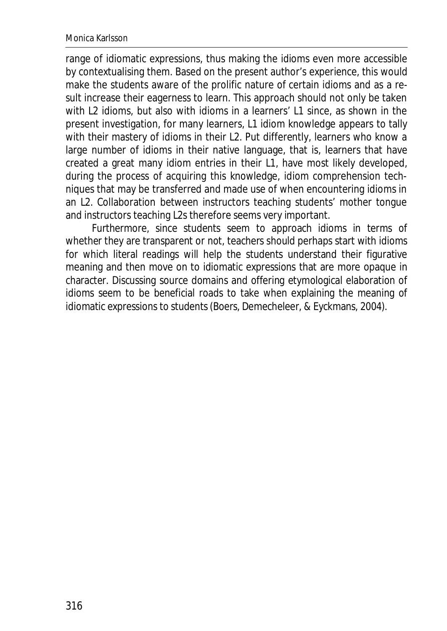range of idiomatic expressions, thus making the idioms even more accessible by contextualising them. Based on the present author's experience, this would make the students aware of the prolific nature of certain idioms and as a result increase their eagerness to learn. This approach should not only be taken with L2 idioms, but also with idioms in a learners' L1 since, as shown in the present investigation, for many learners, L1 idiom knowledge appears to tally with their mastery of idioms in their L2. Put differently, learners who know a large number of idioms in their native language, that is, learners that have created a great many idiom entries in their L1, have most likely developed, during the process of acquiring this knowledge, idiom comprehension techniques that may be transferred and made use of when encountering idioms in an L2. Collaboration between instructors teaching students' mother tongue and instructors teaching L2s therefore seems very important.

Furthermore, since students seem to approach idioms in terms of whether they are transparent or not, teachers should perhaps start with idioms for which literal readings will help the students understand their figurative meaning and then move on to idiomatic expressions that are more opaque in character. Discussing source domains and offering etymological elaboration of idioms seem to be beneficial roads to take when explaining the meaning of idiomatic expressions to students(Boers, Demecheleer, & Eyckmans, 2004).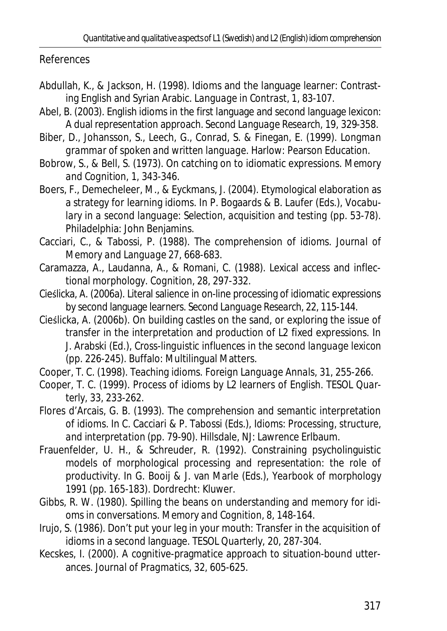References

- Abdullah, K., & Jackson, H. (1998). Idioms and the language learner: Contrasting English and Syrian Arabic. *Language in Contrast, 1,* 83-107.
- Abel, B. (2003). English idioms in the first language and second language lexicon: A dual representation approach. *Second Language Research, 19*, 329-358.
- Biber, D., Johansson, S., Leech, G., Conrad, S. & Finegan, E. (1999). *Longman grammar of spoken and written language*. Harlow: Pearson Education.
- Bobrow, S., & Bell, S. (1973). On catching on to idiomatic expressions. *Memory and Cognition, 1,* 343-346.
- Boers, F., Demecheleer, M., & Eyckmans, J. (2004). Etymological elaboration as a strategy for learning idioms. In P. Bogaards & B. Laufer (Eds.), *Vocabulary in a second language*: *Selection, acquisition and testing* (pp. 53-78). Philadelphia: John Benjamins.
- Cacciari, C., & Tabossi, P. (1988). The comprehension of idioms. *Journal of Memory and Language 27*, 668-683.
- Caramazza, A., Laudanna, A., & Romani, C. (1988). Lexical access and inflectional morphology. *Cognition, 28*, 297-332.
- Cieślicka, A. (2006a). Literal salience in on-line processing of idiomatic expressions by second language learners. *Second Language Research, 22*, 115-144.
- Cieślicka, A. (2006b). On building castles on the sand, or exploring the issue of transfer in the interpretation and production of L2 fixed expressions. In J. Arabski (Ed.), *Cross-linguistic influences in the second language lexicon* (pp. 226-245). Buffalo: Multilingual Matters.
- Cooper, T. C. (1998). Teaching idioms. *Foreign Language Annals, 31*, 255-266.
- Cooper, T. C. (1999). Process of idioms by L2 learners of English. *TESOL Quarterly, 33,* 233-262.
- Flores d'Arcais, G. B. (1993). The comprehension and semantic interpretation of idioms. In C. Cacciari & P. Tabossi (Eds.), *Idioms: Processing, structure, and interpretation* (pp. 79-90). Hillsdale, NJ: Lawrence Erlbaum.
- Frauenfelder, U. H., & Schreuder, R. (1992). Constraining psycholinguistic models of morphological processing and representation: the role of productivity. In G. Booij & J. van Marle (Eds.), *Yearbook of morphology 1991* (pp. 165-183). Dordrecht: Kluwer.
- Gibbs, R. W. (1980). Spilling the beans on understanding and memory for idioms in conversations. *Memory and Cognition, 8*, 148-164.
- Irujo, S. (1986). Don't put your leg in your mouth: Transfer in the acquisition of idioms in a second language. *TESOL Quarterly, 20,* 287-304.
- Kecskes, I. (2000). A cognitive-pragmatice approach to situation-bound utterances. *Journal of Pragmatics, 32*, 605-625.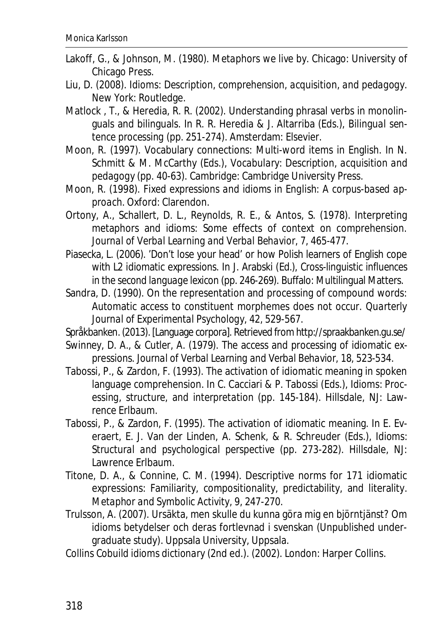- Lakoff, G., & Johnson, M. (1980). *Metaphors we live by*. Chicago: University of Chicago Press.
- Liu, D. (2008). *Idioms: Description, comprehension, acquisition, and pedagogy*. New York: Routledge.
- Matlock , T., & Heredia, R. R. (2002). Understanding phrasal verbs in monolinguals and bilinguals. In R. R. Heredia & J. Altarriba (Eds.), *Bilingual sentence processing* (pp. 251-274). Amsterdam: Elsevier.
- Moon, R. (1997). Vocabulary connections: Multi-word items in English. In N. Schmitt & M. McCarthy (Eds.), *Vocabulary: Description, acquisition and pedagogy* (pp. 40-63). Cambridge: Cambridge University Press.
- Moon, R. (1998). *Fixed expressions and idioms in English: A corpus-based approach*. Oxford: Clarendon.
- Ortony, A., Schallert, D. L., Reynolds, R. E., & Antos, S. (1978). Interpreting metaphors and idioms: Some effects of context on comprehension. *Journal of Verbal Learning and Verbal Behavior, 7*, 465-477.
- Piasecka, L. (2006). 'Don't lose your head' or how Polish learners of English cope with L2 idiomatic expressions. In J. Arabski (Ed.), *Cross-linguistic influences in the second language lexicon* (pp. 246-269). Buffalo: Multilingual Matters.
- Sandra, D. (1990). On the representation and processing of compound words: Automatic access to constituent morphemes does not occur. *Quarterly Journal of Experimental Psychology, 42*, 529-567.

Språkbanken. (2013). [Language corpora]. Retrieved from http://spraakbanken.gu.se/

- Swinney, D. A., & Cutler, A. (1979). The access and processing of idiomatic expressions. *Journal of Verbal Learning and Verbal Behavior, 18*, 523-534.
- Tabossi, P., & Zardon, F. (1993). The activation of idiomatic meaning in spoken language comprehension. In C. Cacciari & P. Tabossi (Eds.), *Idioms: Processing, structure, and interpretation* (pp. 145-184). Hillsdale, NJ: Lawrence Erlbaum.
- Tabossi, P., & Zardon, F. (1995). The activation of idiomatic meaning. In E. Everaert, E. J. Van der Linden, A. Schenk, & R. Schreuder (Eds.), *Idioms: Structural and psychological perspective* (pp. 273-282). Hillsdale, NJ: Lawrence Erlbaum.
- Titone, D. A., & Connine, C. M. (1994). Descriptive norms for 171 idiomatic expressions: Familiarity, compositionality, predictability, and literality. *Metaphor and Symbolic Activity, 9*, 247-270.
- Trulsson, A. (2007). Ursäkta, men skulle du kunna göra mig en björntjänst? Om idioms betydelser och deras fortlevnad i svenskan (Unpublished undergraduate study). Uppsala University, Uppsala.
- *Collins Cobuild idioms dictionary* (2nd ed.). (2002). London: Harper Collins.